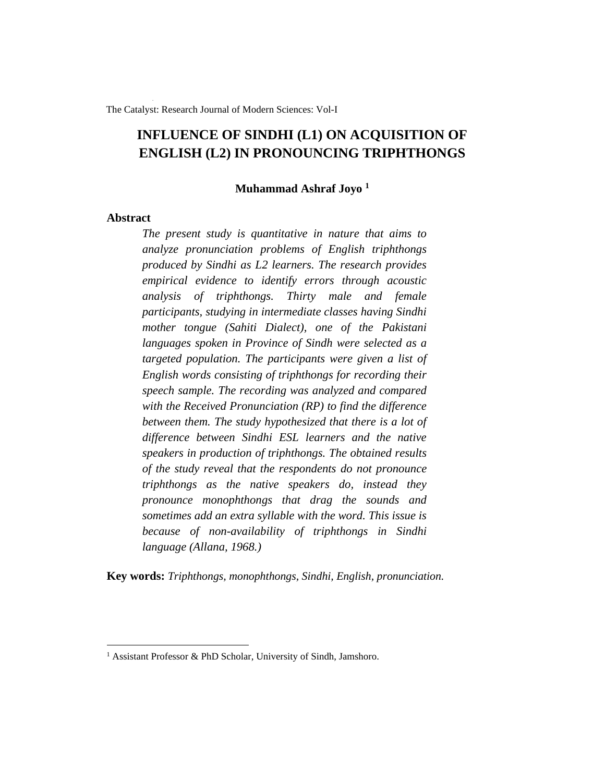The Catalyst: Research Journal of Modern Sciences: Vol-I

# **INFLUENCE OF SINDHI (L1) ON ACQUISITION OF ENGLISH (L2) IN PRONOUNCING TRIPHTHONGS**

### **Muhammad Ashraf Joyo <sup>1</sup>**

## **Abstract**

*The present study is quantitative in nature that aims to analyze pronunciation problems of English triphthongs produced by Sindhi as L2 learners. The research provides empirical evidence to identify errors through acoustic analysis of triphthongs. Thirty male and female participants, studying in intermediate classes having Sindhi mother tongue (Sahiti Dialect), one of the Pakistani languages spoken in Province of Sindh were selected as a targeted population. The participants were given a list of English words consisting of triphthongs for recording their speech sample. The recording was analyzed and compared with the Received Pronunciation (RP) to find the difference between them. The study hypothesized that there is a lot of difference between Sindhi ESL learners and the native speakers in production of triphthongs. The obtained results of the study reveal that the respondents do not pronounce triphthongs as the native speakers do, instead they pronounce monophthongs that drag the sounds and sometimes add an extra syllable with the word. This issue is because of non-availability of triphthongs in Sindhi language (Allana, 1968.)* 

**Key words:** *Triphthongs, monophthongs, Sindhi, English, pronunciation.*

<sup>&</sup>lt;sup>1</sup> Assistant Professor & PhD Scholar, University of Sindh, Jamshoro.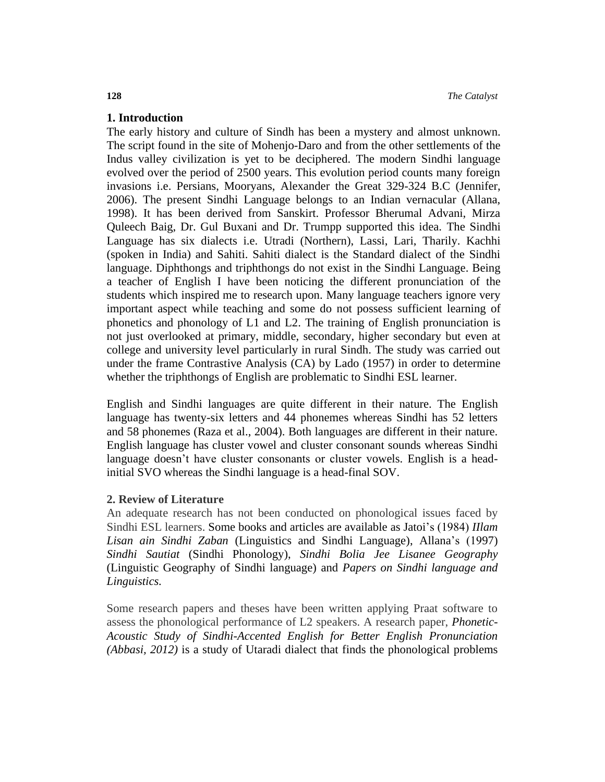## **1. Introduction**

The early history and culture of Sindh has been a mystery and almost unknown. The script found in the site of Mohenjo-Daro and from the other settlements of the Indus valley civilization is yet to be deciphered. The modern Sindhi language evolved over the period of 2500 years. This evolution period counts many foreign invasions i.e. Persians, Mooryans, Alexander the Great 329-324 B.C (Jennifer, 2006). The present Sindhi Language belongs to an Indian vernacular (Allana, 1998). It has been derived from Sanskirt. Professor Bherumal Advani, Mirza Quleech Baig, Dr. Gul Buxani and Dr. Trumpp supported this idea. The Sindhi Language has six dialects i.e. Utradi (Northern), Lassi, Lari, Tharily. Kachhi (spoken in India) and Sahiti. Sahiti dialect is the Standard dialect of the Sindhi language. Diphthongs and triphthongs do not exist in the Sindhi Language. Being a teacher of English I have been noticing the different pronunciation of the students which inspired me to research upon. Many language teachers ignore very important aspect while teaching and some do not possess sufficient learning of phonetics and phonology of L1 and L2. The training of English pronunciation is not just overlooked at primary, middle, secondary, higher secondary but even at college and university level particularly in rural Sindh. The study was carried out under the frame Contrastive Analysis (CA) by Lado (1957) in order to determine whether the triphthongs of English are problematic to Sindhi ESL learner.

English and Sindhi languages are quite different in their nature. The English language has twenty-six letters and 44 phonemes whereas Sindhi has 52 letters and 58 phonemes (Raza et al., 2004). Both languages are different in their nature. English language has cluster vowel and cluster consonant sounds whereas Sindhi language doesn't have cluster consonants or cluster vowels. English is a headinitial SVO whereas the Sindhi language is a head-final SOV.

### **2. Review of Literature**

An adequate research has not been conducted on phonological issues faced by Sindhi ESL learners. Some books and articles are available as Jatoi's (1984) *IIlam Lisan ain Sindhi Zaban* (Linguistics and Sindhi Language), Allana's (1997) *Sindhi Sautiat* (Sindhi Phonology), *Sindhi Bolia Jee Lisanee Geography* (Linguistic Geography of Sindhi language) and *Papers on Sindhi language and Linguistics.*

Some research papers and theses have been written applying Praat software to assess the phonological performance of L2 speakers. A research paper, *Phonetic-Acoustic Study of Sindhi-Accented English for Better English Pronunciation (Abbasi, 2012)* is a study of Utaradi dialect that finds the phonological problems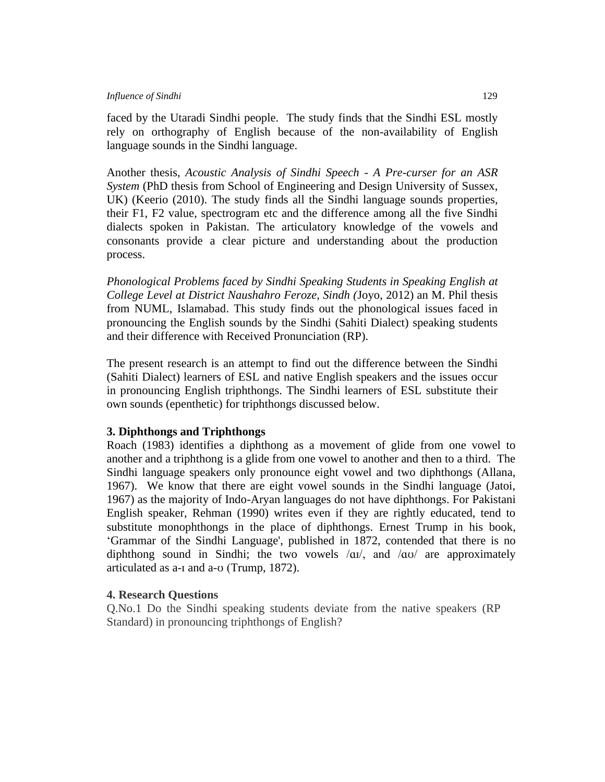#### *Influence of Sindhi*129

faced by the Utaradi Sindhi people. The study finds that the Sindhi ESL mostly rely on orthography of English because of the non-availability of English language sounds in the Sindhi language.

Another thesis, *Acoustic Analysis of Sindhi Speech - A Pre-curser for an ASR System* (PhD thesis from School of Engineering and Design University of Sussex, UK) (Keerio (2010). The study finds all the Sindhi language sounds properties, their F1, F2 value, spectrogram etc and the difference among all the five Sindhi dialects spoken in Pakistan. The articulatory knowledge of the vowels and consonants provide a clear picture and understanding about the production process.

*Phonological Problems faced by Sindhi Speaking Students in Speaking English at College Level at District Naushahro Feroze, Sindh (*Joyo, 2012) an M. Phil thesis from NUML, Islamabad. This study finds out the phonological issues faced in pronouncing the English sounds by the Sindhi (Sahiti Dialect) speaking students and their difference with Received Pronunciation (RP).

The present research is an attempt to find out the difference between the Sindhi (Sahiti Dialect) learners of ESL and native English speakers and the issues occur in pronouncing English triphthongs. The Sindhi learners of ESL substitute their own sounds (epenthetic) for triphthongs discussed below.

## **3. Diphthongs and Triphthongs**

Roach (1983) identifies a diphthong as a movement of glide from one vowel to another and a triphthong is a glide from one vowel to another and then to a third. The Sindhi language speakers only pronounce eight vowel and two diphthongs (Allana, 1967). We know that there are eight vowel sounds in the Sindhi language (Jatoi, 1967) as the majority of Indo-Aryan languages do not have diphthongs. For Pakistani English speaker, Rehman (1990) writes even if they are rightly educated, tend to substitute monophthongs in the place of diphthongs. Ernest Trump in his book, 'Grammar of the Sindhi Language', published in 1872, contended that there is no diphthong sound in Sindhi; the two vowels  $\alpha$ <sup>'</sup>, and  $\alpha$ <sup>'</sup> are approximately articulated as a-ɪ and a-ʊ (Trump, 1872).

## **4. Research Questions**

Q.No.1 Do the Sindhi speaking students deviate from the native speakers (RP Standard) in pronouncing triphthongs of English?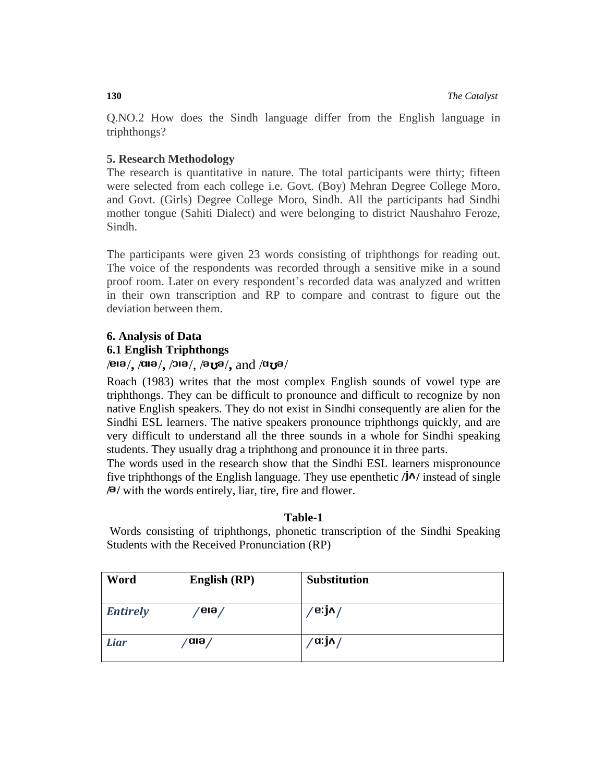Q.NO.2 How does the Sindh language differ from the English language in triphthongs?

## **5. Research Methodology**

The research is quantitative in nature. The total participants were thirty; fifteen were selected from each college i.e. Govt. (Boy) Mehran Degree College Moro, and Govt. (Girls) Degree College Moro, Sindh. All the participants had Sindhi mother tongue (Sahiti Dialect) and were belonging to district Naushahro Feroze, Sindh.

The participants were given 23 words consisting of triphthongs for reading out. The voice of the respondents was recorded through a sensitive mike in a sound proof room. Later on every respondent's recorded data was analyzed and written in their own transcription and RP to compare and contrast to figure out the deviation between them.

# **6. Analysis of Data 6.1 English Triphthongs**

## / /**,** / /**,** / /, / ʊ /**,** and / ʊ /

Roach (1983) writes that the most complex English sounds of vowel type are triphthongs. They can be difficult to pronounce and difficult to recognize by non native English speakers. They do not exist in Sindhi consequently are alien for the Sindhi ESL learners. The native speakers pronounce triphthongs quickly, and are very difficult to understand all the three sounds in a whole for Sindhi speaking students. They usually drag a triphthong and pronounce it in three parts.

The words used in the research show that the Sindhi ESL learners mispronounce five triphthongs of the English language. They use epenthetic **/***i***^/** instead of single **/ /** with the words entirely, liar, tire, fire and flower.

## **Table-1**

Words consisting of triphthongs, phonetic transcription of the Sindhi Speaking Students with the Received Pronunciation (RP)

| Word            | English (RP) | <b>Substitution</b> |
|-----------------|--------------|---------------------|
| <b>Entirely</b> | 'eıə /       | e:jn/               |
| Liar            | ana /        | ′a:j∧ /             |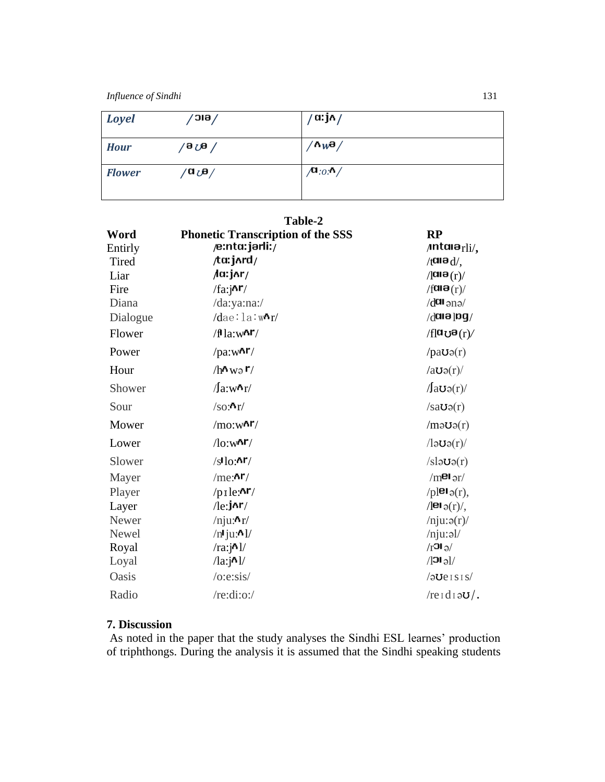*Influence of Sindhi*131

| <b>Loyel</b>  | /eic              | ′ α: j∧ /                           |  |
|---------------|-------------------|-------------------------------------|--|
| <b>Hour</b>   | 'ә <sub>О</sub> ө | $^{\prime}$ ለ $_{W}$ a $/$          |  |
| <b>Flower</b> | /a هن a/          | $\sqrt{\phantom{a}}$ :0: $\prime$ / |  |

**Table-2**

| Word     | <b>Phonetic Transcription of the SSS</b> | RP                                            |  |
|----------|------------------------------------------|-----------------------------------------------|--|
| Entirly  | /e:nta:jarli:/                           | $/$ ntai $a_{\rm rli/}$                       |  |
| Tired    | ta:jʌrd/                                 | $/$ tara $d/$                                 |  |
| Liar     | /d:j^r/                                  | $/$ alə $(r)$ /                               |  |
| Fire     | $/fa$ : $\lambda$ r/                     | $/$ fuiə $(r)$ /                              |  |
| Diana    | /da:ya:na:/                              | $\gamma$ cne I¤ $b$                           |  |
| Dialogue | $/$ dae:la:w^r/                          | $\sqrt{d}$ aia jog $\sqrt{d}$                 |  |
| Flower   | $/fla:w$ <sup>nr</sup> /                 | $/fl$ u ប $\mathbf{B}(r)$                     |  |
| Power    | $/pa:w$ <sup><math>\Delta</math>r/</sup> | $/pa$ <b>U</b> $\varphi(r)$                   |  |
| Hour     | $/h \sim w \circ r$                      | $/ao$ s $(r)$                                 |  |
| Shower   | $\sqrt{a}$ :w $\frac{h}{r}$              | $\sqrt{a}$ <b>O</b> $\varphi(r)$              |  |
| Sour     | $/$ so: $\mathbf{h}$ r $/$               | $/sa\upsilon o(r)$                            |  |
| Mower    | $/mo:w$ <sup>Ar</sup> $/$                | $/m \partial O(r)$                            |  |
| Lower    | $\sqrt{\log n}$                          | $\ell$ lə $U$ ə $(r)$                         |  |
| Slower   | $/s$ lo: $Ar/$                           | $/s$ la $\upsilon$ ə $(r)$                    |  |
| Mayer    | /me:                                     | $/m$ <sup>e</sup> lər/                        |  |
| Player   | $/p_1$ le: $\Delta r/$                   | $/p$   <b>e</b> $\mathsf{I}_{\vartheta}(r)$ , |  |
| Layer    | $/$ le:j^r/                              | $\sqrt{ \mathbf{e}_i(t) },$                   |  |
| Newer    | $/$ nju: $\mathbf{r}/$                   | $/$ nju: $\mathfrak{g}(r)$                    |  |
| Newel    | $/n$ lju: $N$ l/                         | $/$ nju:əl/                                   |  |
| Royal    | $/ra$ : $jN$                             | $\sqrt{r}$ <sup>1</sup> $\sigma$              |  |
| Loyal    | $\lambda$ a:j $\lambda$ ]/               | $/$ $ O $                                     |  |
| Oasis    | $/$ o:e:sis $/$                          | $/20e$ ISIS                                   |  |
| Radio    | /re:di:o:/                               | $/reld$ i $\partial U$ .                      |  |

# **7. Discussion**

As noted in the paper that the study analyses the Sindhi ESL learnes' production of triphthongs. During the analysis it is assumed that the Sindhi speaking students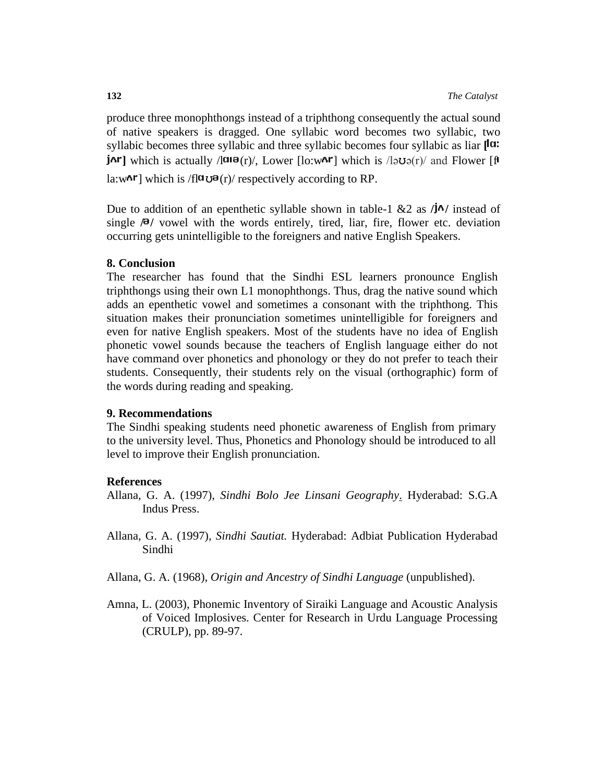produce three monophthongs instead of a triphthong consequently the actual sound of native speakers is dragged. One syllabic word becomes two syllabic, two syllabic becomes three syllabic and three syllabic becomes four syllabic as liar **[<sup>la:</sup>** *j***^r**] which is actually  $\frac{1}{\mathbf{u}} \mathbf{e}(\mathbf{r})$ , Lower [lo:w^r] which is  $\frac{1}{\mathbf{v}} \mathbf{v}(\mathbf{r})$  and Flower [f la:w $\text{Ar}$ ] which is /fl $\text{O}(\text{r})$  respectively according to RP.

Due to addition of an epenthetic syllable shown in table-1  $\&$ 2 as  $/\mathbf{I}^{\wedge}$  instead of single  $\sqrt{\theta}$  vowel with the words entirely, tired, liar, fire, flower etc. deviation occurring gets unintelligible to the foreigners and native English Speakers.

## **8. Conclusion**

The researcher has found that the Sindhi ESL learners pronounce English triphthongs using their own L1 monophthongs. Thus, drag the native sound which adds an epenthetic vowel and sometimes a consonant with the triphthong. This situation makes their pronunciation sometimes unintelligible for foreigners and even for native English speakers. Most of the students have no idea of English phonetic vowel sounds because the teachers of English language either do not have command over phonetics and phonology or they do not prefer to teach their students. Consequently, their students rely on the visual (orthographic) form of the words during reading and speaking.

## **9. Recommendations**

The Sindhi speaking students need phonetic awareness of English from primary to the university level. Thus, Phonetics and Phonology should be introduced to all level to improve their English pronunciation.

## **References**

- Allana, G. A. (1997), *Sindhi Bolo Jee Linsani Geography*. Hyderabad: S.G.A Indus Press.
- Allana, G. A. (1997), *Sindhi Sautiat.* Hyderabad: Adbiat Publication Hyderabad Sindhi
- Allana, G. A. (1968), *Origin and Ancestry of Sindhi Language* (unpublished).
- Amna, L. (2003), Phonemic Inventory of Siraiki Language and Acoustic Analysis of Voiced Implosives. Center for Research in Urdu Language Processing (CRULP), pp. 89-97.